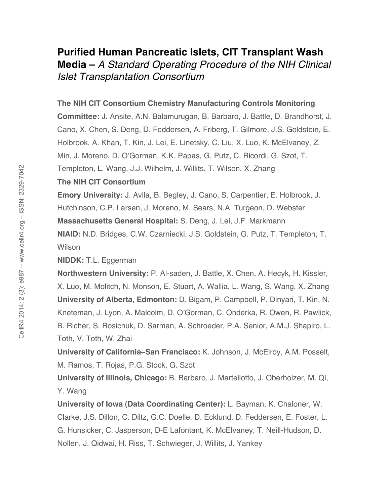# **Purified Human Pancreatic Islets, CIT Transplant Wash Media –** *A Standard Operating Procedure of the NIH Clinical Islet Transplantation Consortium*

#### **The NIH CIT Consortium Chemistry Manufacturing Controls Monitoring**

**Committee:** J. Ansite, A.N. Balamurugan, B. Barbaro, J. Battle, D. Brandhorst, J. Cano, X. Chen, S. Deng, D. Feddersen, A. Friberg, T. Gilmore, J.S. Goldstein, E. Holbrook, A. Khan, T. Kin, J. Lei, E. Linetsky, C. Liu, X. Luo, K. McElvaney, Z. Min, J. Moreno, D. O'Gorman, K.K. Papas, G. Putz, C. Ricordi, G. Szot, T. Templeton, L. Wang, J.J. Wilhelm, J. Willits, T. Wilson, X. Zhang

### **The NIH CIT Consortium**

**Emory University:** J. Avila, B. Begley, J. Cano, S. Carpentier, E. Holbrook, J. Hutchinson, C.P. Larsen, J. Moreno, M. Sears, N.A. Turgeon, D. Webster

**Massachusetts General Hospital:** S. Deng, J. Lei, J.F. Markmann

**NIAID:** N.D. Bridges, C.W. Czarniecki, J.S. Goldstein, G. Putz, T. Templeton, T. Wilson

**NIDDK:** T.L. Eggerman

**Northwestern University:** P. Al-saden, J. Battle, X. Chen, A. Hecyk, H. Kissler, X. Luo, M. Molitch, N. Monson, E. Stuart, A. Wallia, L. Wang, S. Wang, X. Zhang **University of Alberta, Edmonton:** D. Bigam, P. Campbell, P. Dinyari, T. Kin, N. Kneteman, J. Lyon, A. Malcolm, D. O'Gorman, C. Onderka, R. Owen, R. Pawlick, B. Richer, S. Rosichuk, D. Sarman, A. Schroeder, P.A. Senior, A.M.J. Shapiro, L. Toth, V. Toth, W. Zhai

**University of California–San Francisco:** K. Johnson, J. McElroy, A.M. Posselt, M. Ramos, T. Rojas, P.G. Stock, G. Szot

**University of Illinois, Chicago:** B. Barbaro, J. Martellotto, J. Oberholzer, M. Qi, Y. Wang

**University of Iowa (Data Coordinating Center):** L. Bayman, K. Chaloner, W. Clarke, J.S. Dillon, C. Diltz, G.C. Doelle, D. Ecklund, D. Feddersen, E. Foster, L. G. Hunsicker, C. Jasperson, D-E Lafontant, K. McElvaney, T. Neill-Hudson, D. Nollen, J. Qidwai, H. Riss, T. Schwieger, J. Willits, J. Yankey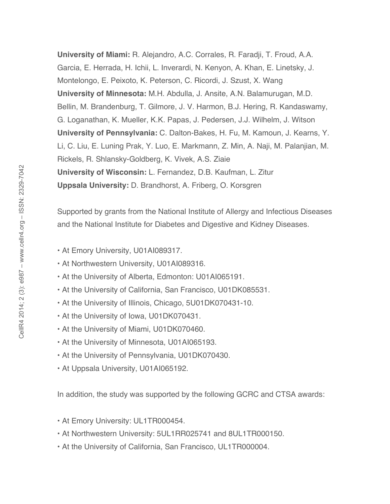**University of Miami:** R. Alejandro, A.C. Corrales, R. Faradji, T. Froud, A.A. Garcia, E. Herrada, H. Ichii, L. Inverardi, N. Kenyon, A. Khan, E. Linetsky, J. Montelongo, E. Peixoto, K. Peterson, C. Ricordi, J. Szust, X. Wang **University of Minnesota:** M.H. Abdulla, J. Ansite, A.N. Balamurugan, M.D. Bellin, M. Brandenburg, T. Gilmore, J. V. Harmon, B.J. Hering, R. Kandaswamy, G. Loganathan, K. Mueller, K.K. Papas, J. Pedersen, J.J. Wilhelm, J. Witson **University of Pennsylvania:** C. Dalton-Bakes, H. Fu, M. Kamoun, J. Kearns, Y. Li, C. Liu, E. Luning Prak, Y. Luo, E. Markmann, Z. Min, A. Naji, M. Palanjian, M. Rickels, R. Shlansky-Goldberg, K. Vivek, A.S. Ziaie **University of Wisconsin:** L. Fernandez, D.B. Kaufman, L. Zitur **Uppsala University:** D. Brandhorst, A. Friberg, O. Korsgren

Supported by grants from the National Institute of Allergy and Infectious Diseases and the National Institute for Diabetes and Digestive and Kidney Diseases.

- At Emory University, U01AI089317.
- At Northwestern University, U01AI089316.
- At the University of Alberta, Edmonton: U01AI065191.
- At the University of California, San Francisco, U01DK085531.
- At the University of Illinois, Chicago, 5U01DK070431-10.
- At the University of Iowa, U01DK070431.
- At the University of Miami, U01DK070460.
- At the University of Minnesota, U01AI065193.
- At the University of Pennsylvania, U01DK070430.
- At Uppsala University, U01AI065192.

In addition, the study was supported by the following GCRC and CTSA awards:

- At Emory University: UL1TR000454.
- At Northwestern University: 5UL1RR025741 and 8UL1TR000150.
- At the University of California, San Francisco, UL1TR000004.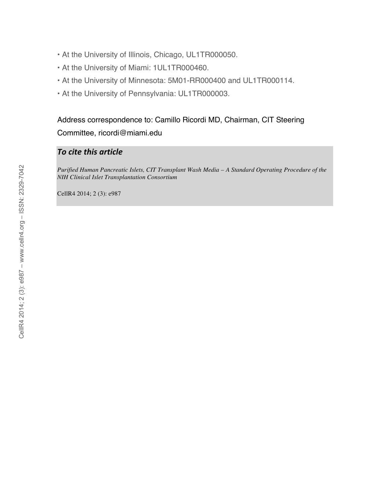- At the University of Illinois, Chicago, UL1TR000050.
- At the University of Miami: 1UL1TR000460.
- At the University of Minnesota: 5M01-RR000400 and UL1TR000114.
- At the University of Pennsylvania: UL1TR000003.

Address correspondence to: Camillo Ricordi MD, Chairman, CIT Steering Committee, ricordi@miami.edu

## *To
cite
this
article*

*Purified Human Pancreatic Islets, CIT Transplant Wash Media – A Standard Operating Procedure of the NIH Clinical Islet Transplantation Consortium*

CellR4 2014; 2 (3): e987